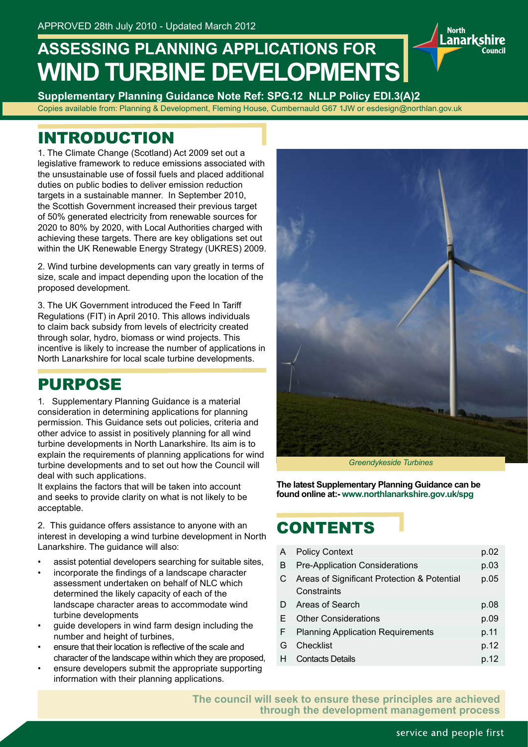# **ASSESSING PLANNING APPLICATIONS FOR WIND TURBINE DEVELOPMENTS**

**Supplementary Planning Guidance Note Ref: SPG.12 NLLP Policy EDI.3(A)2** Copies available from: Planning & Development, Fleming House, Cumbernauld G67 1JW or esdesign@northlan.gov.uk

### INTRODUCTION

1. The Climate Change (Scotland) Act 2009 set out a legislative framework to reduce emissions associated with the unsustainable use of fossil fuels and placed additional duties on public bodies to deliver emission reduction targets in a sustainable manner. In September 2010, the Scottish Government increased their previous target of 50% generated electricity from renewable sources for 2020 to 80% by 2020, with Local Authorities charged with achieving these targets. There are key obligations set out within the UK Renewable Energy Strategy (UKRES) 2009.

2. Wind turbine developments can vary greatly in terms of size, scale and impact depending upon the location of the proposed development.

3. The UK Government introduced the Feed In Tariff Regulations (FIT) in April 2010. This allows individuals to claim back subsidy from levels of electricity created through solar, hydro, biomass or wind projects. This incentive is likely to increase the number of applications in North Lanarkshire for local scale turbine developments.

### PURPOSE

1. Supplementary Planning Guidance is a material consideration in determining applications for planning permission. This Guidance sets out policies, criteria and other advice to assist in positively planning for all wind turbine developments in North Lanarkshire. Its aim is to explain the requirements of planning applications for wind turbine developments and to set out how the Council will deal with such applications.

It explains the factors that will be taken into account and seeks to provide clarity on what is not likely to be acceptable.

2. This guidance offers assistance to anyone with an interest in developing a wind turbine development in North Lanarkshire. The guidance will also:

- assist potential developers searching for suitable sites,
- • incorporate the findings of a landscape character assessment undertaken on behalf of NLC which determined the likely capacity of each of the landscape character areas to accommodate wind turbine developments
- guide developers in wind farm design including the number and height of turbines,
- ensure that their location is reflective of the scale and character of the landscape within which they are proposed,
- ensure developers submit the appropriate supporting information with their planning applications.



**North** 

.anarkshire

*Greendykeside Turbines*

**The latest Supplementary Planning Guidance can be found online at:- www.northlanarkshire.gov.uk/spg**

### CONTENTS

| A  | <b>Policy Context</b>                                      | p.02 |
|----|------------------------------------------------------------|------|
| В  | <b>Pre-Application Considerations</b>                      | p.03 |
| С  | Areas of Significant Protection & Potential<br>Constraints | p.05 |
| D  | Areas of Search                                            | p.08 |
| E. | <b>Other Considerations</b>                                | p.09 |
| F. | <b>Planning Application Requirements</b>                   | p.11 |
| G  | Checklist                                                  | p.12 |
| H  | <b>Contacts Details</b>                                    | p.12 |
|    |                                                            |      |

**The council will seek to ensure these principles are achieved through the development management process**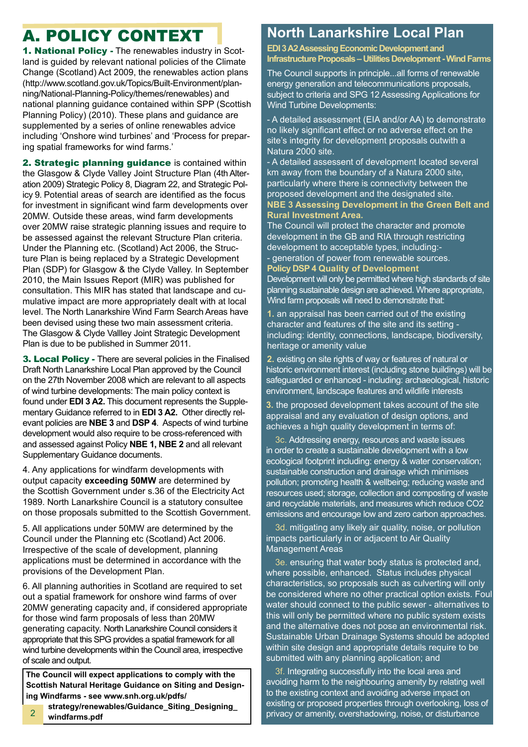### A. POLICY CONTEXT

1. National Policy - The renewables industry in Scotland is guided by relevant national policies of the Climate Change (Scotland) Act 2009, the renewables action plans (http://www.scotland.gov.uk/Topics/Built-Environment/planning/National-Planning-Policy/themes/renewables) and national planning guidance contained within SPP (Scottish Planning Policy) (2010). These plans and guidance are supplemented by a series of online renewables advice including 'Onshore wind turbines' and 'Process for preparing spatial frameworks for wind farms.'

2. Strategic planning guidance is contained within the Glasgow & Clyde Valley Joint Structure Plan (4th Alteration 2009) Strategic Policy 8, Diagram 22, and Strategic Policy 9. Potential areas of search are identified as the focus for investment in significant wind farm developments over 20MW. Outside these areas, wind farm developments over 20MW raise strategic planning issues and require to be assessed against the relevant Structure Plan criteria. Under the Planning etc. (Scotland) Act 2006, the Structure Plan is being replaced by a Strategic Development Plan (SDP) for Glasgow & the Clyde Valley. In September 2010, the Main Issues Report (MIR) was published for consultation. This MIR has stated that landscape and cumulative impact are more appropriately dealt with at local level. The North Lanarkshire Wind Farm Search Areas have been devised using these two main assessment criteria. The Glasgow & Clyde Vallley Joint Strategic Development Plan is due to be published in Summer 2011.

**3. Local Policy - There are several policies in the Finalised** Draft North Lanarkshire Local Plan approved by the Council on the 27th November 2008 which are relevant to all aspects of wind turbine developments: The main policy context is found under **EDI 3 A2.** This document represents the Supplementary Guidance referred to in **EDI 3 A2.** Other directly relevant policies are **NBE 3** and **DSP 4**. Aspects of wind turbine development would also require to be cross-referenced with and assessed against Policy **NBE 1, NBE 2** and all relevant Supplementary Guidance documents.

4. Any applications for windfarm developments with output capacity **exceeding 50MW** are determined by the Scottish Government under s.36 of the Electricity Act 1989. North Lanarkshire Council is a statutory consultee on those proposals submitted to the Scottish Government.

5. All applications under 50MW are determined by the Council under the Planning etc (Scotland) Act 2006. Irrespective of the scale of development, planning applications must be determined in accordance with the provisions of the Development Plan.

6. All planning authorities in Scotland are required to set out a spatial framework for onshore wind farms of over 20MW generating capacity and, if considered appropriate for those wind farm proposals of less than 20MW generating capacity. North Lanarkshire Council considers it appropriate that this SPG provides a spatial framework for all wind turbine developments within the Council area, irrespective of scale and output.

**The Council will expect applications to comply with the Scottish Natural Heritage Guidance on Siting and Design**ing Windfarms - see www.snh.org.uk/pdfs/

**..........strategy/renewables/Guidance\_Siting\_Designing\_ ..........windfarms.pdf** 2

### **North Lanarkshire Local Plan**

**EDI 3 A2 Assessing Economic Development and Infrastructure Proposals – Utilities Development - Wind Farms**

The Council supports in principle...all forms of renewable energy generation and telecommunications proposals, subiect to criteria and SPG 12 Assessing Applications for Wind Turbine Developments:

- A detailed assessment (EIA and/or AA) to demonstrate no likely significant effect or no adverse effect on the site's integrity for development proposals outwith a Natura 2000 site.

- A detailed assessent of development located several km away from the boundary of a Natura 2000 site, particularly where there is connectivity between the proposed development and the designated site. **NBE 3 Assessing Development in the Green Belt and Rural Investment Area.**

The Council will protect the character and promote development in the GB and RIA through restricting development to acceptable types, including:- - generation of power from renewable sources. **Policy DSP 4 Quality of Development**

Development will only be permitted where high standards of site planning sustainable design are achieved. Where appropriate, Wind farm proposals will need to demonstrate that:

**1.** an appraisal has been carried out of the existing character and features of the site and its setting including: identity, connections, landscape, biodiversity, heritage or amenity value

**2.** existing on site rights of way or features of natural or historic environment interest (including stone buildings) will be safeguarded or enhanced - including: archaeological, historic environment, landscape features and wildlife interests

**3.** the proposed development takes account of the site appraisal and any evaluation of design options, and achieves a high quality development in terms of:

3c. Addressing energy, resources and waste issues in order to create a sustainable development with a low ecological footprint including: energy & water conservation; sustainable construction and drainage which minimises pollution; promoting health & wellbeing; reducing waste and resources used; storage, collection and composting of waste and recyclable materials, and measures which reduce CO2 emissions and encourage low and zero carbon approaches.

3d. mitigating any likely air quality, noise, or pollution impacts particularly in or adjacent to Air Quality Management Areas

3e. ensuring that water body status is protected and, where possible, enhanced. Status includes physical characteristics, so proposals such as culverting will only be considered where no other practical option exists. Foul water should connect to the public sewer - alternatives to this will only be permitted where no public system exists and the alternative does not pose an environmental risk. Sustainable Urban Drainage Systems should be adopted within site design and appropriate details require to be submitted with any planning application; and

3f. Integrating successfully into the local area and avoiding harm to the neighbouring amenity by relating well to the existing context and avoiding adverse impact on existing or proposed properties through overlooking, loss of privacy or amenity, overshadowing, noise, or disturbance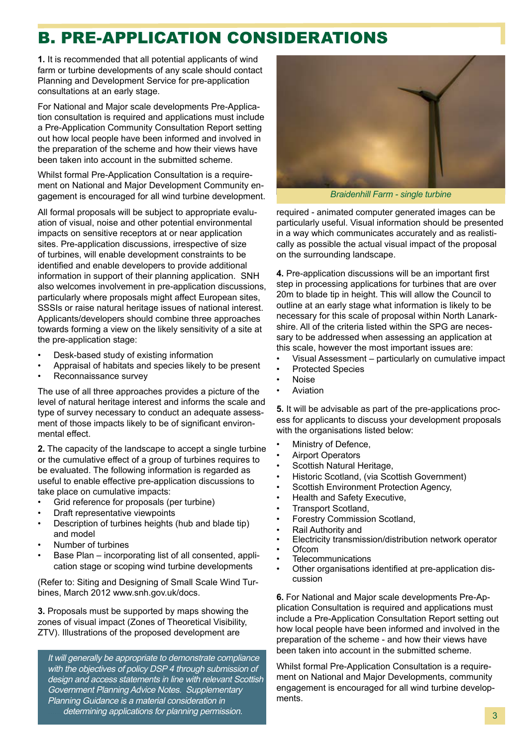### B. PRE-APPLICATION CONSIDERATIONS

**1.** It is recommended that all potential applicants of wind farm or turbine developments of any scale should contact Planning and Development Service for pre-application consultations at an early stage.

For National and Major scale developments Pre-Application consultation is required and applications must include a Pre-Application Community Consultation Report setting out how local people have been informed and involved in the preparation of the scheme and how their views have been taken into account in the submitted scheme.

Whilst formal Pre-Application Consultation is a requirement on National and Major Development Community engagement is encouraged for all wind turbine development.

All formal proposals will be subject to appropriate evaluation of visual, noise and other potential environmental impacts on sensitive receptors at or near application sites. Pre-application discussions, irrespective of size of turbines, will enable development constraints to be identified and enable developers to provide additional information in support of their planning application. SNH also welcomes involvement in pre-application discussions, particularly where proposals might affect European sites, SSSIs or raise natural heritage issues of national interest. Applicants/developers should combine three approaches towards forming a view on the likely sensitivity of a site at the pre-application stage:

- Desk-based study of existing information
- Appraisal of habitats and species likely to be present
- Reconnaissance survey

The use of all three approaches provides a picture of the level of natural heritage interest and informs the scale and type of survey necessary to conduct an adequate assessment of those impacts likely to be of significant environmental effect.

**2.** The capacity of the landscape to accept a single turbine or the cumulative effect of a group of turbines requires to be evaluated. The following information is regarded as useful to enable effective pre-application discussions to take place on cumulative impacts:

- • Grid reference for proposals (per turbine)
- Draft representative viewpoints
- Description of turbines heights (hub and blade tip) and model
- Number of turbines
- Base Plan incorporating list of all consented, application stage or scoping wind turbine developments

(Refer to: Siting and Designing of Small Scale Wind Turbines, March 2012 www.snh.gov.uk/docs.

**3.** Proposals must be supported by maps showing the zones of visual impact (Zones of Theoretical Visibility, ZTV). Illustrations of the proposed development are

It will generally be appropriate to demonstrate compliance with the objectives of policy DSP 4 through submission of design and access statements in line with relevant Scottish Government Planning Advice Notes. Supplementary Planning Guidance is a material consideration in determining applications for planning permission. **3** 3



*Braidenhill Farm - single turbine*

required - animated computer generated images can be particularly useful. Visual information should be presented in a way which communicates accurately and as realistically as possible the actual visual impact of the proposal on the surrounding landscape.

**4.** Pre-application discussions will be an important first step in processing applications for turbines that are over 20m to blade tip in height. This will allow the Council to outline at an early stage what information is likely to be necessary for this scale of proposal within North Lanarkshire. All of the criteria listed within the SPG are necessary to be addressed when assessing an application at this scale, however the most important issues are:

- Visual Assessment particularly on cumulative impact
- Protected Species
- **Noise**
- **Aviation**

**5.** It will be advisable as part of the pre-applications process for applicants to discuss your development proposals with the organisations listed below:

- Ministry of Defence,
- **Airport Operators**
- Scottish Natural Heritage,
- Historic Scotland, (via Scottish Government)
- Scottish Environment Protection Agency,
- Health and Safety Executive,
- Transport Scotland,
- Forestry Commission Scotland,
- Rail Authority and
- Electricity transmission/distribution network operator
- **Ofcom**
- **Telecommunications**
- Other organisations identified at pre-application discussion

**6.** For National and Major scale developments Pre-Application Consultation is required and applications must include a Pre-Application Consultation Report setting out how local people have been informed and involved in the preparation of the scheme - and how their views have been taken into account in the submitted scheme.

Whilst formal Pre-Application Consultation is a requirement on National and Major Developments, community engagement is encouraged for all wind turbine developments.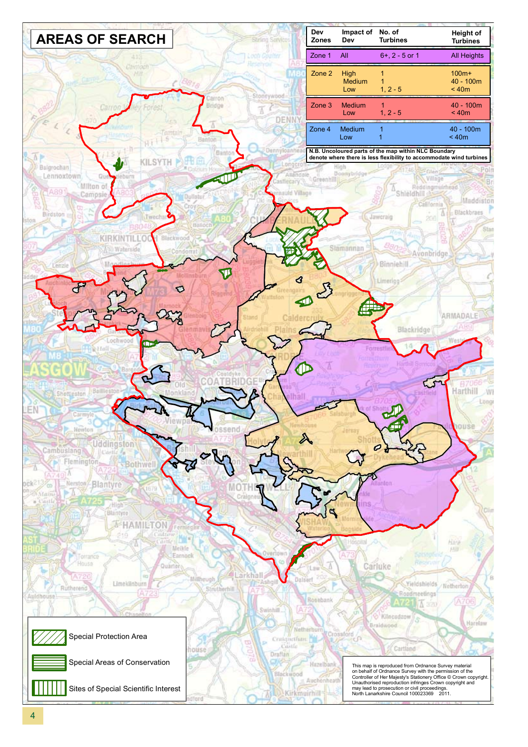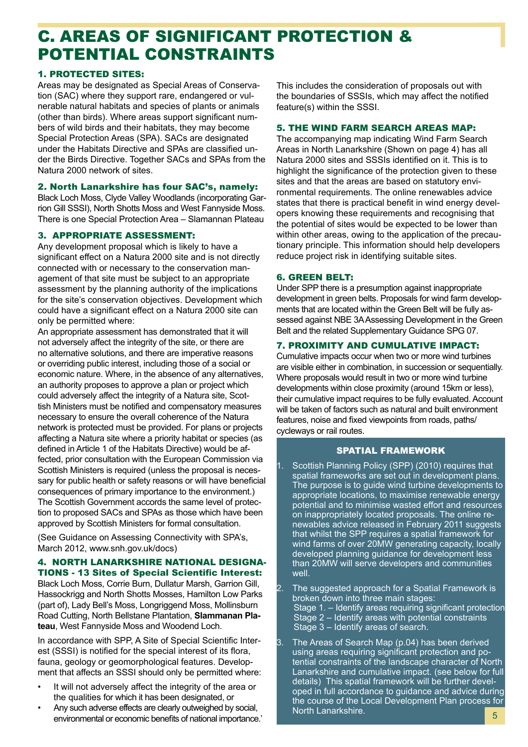### C. AREAS OF SIGNIFICANT PROTECTION & POTENTIAL CONSTRAINTS

#### 1. PROTECTED SITES:

Areas may be designated as Special Areas of Conservation (SAC) where they support rare, endangered or vulnerable natural habitats and species of plants or animals (other than birds). Where areas support significant numbers of wild birds and their habitats, they may become Special Protection Areas (SPA). SACs are designated under the Habitats Directive and SPAs are classified under the Birds Directive. Together SACs and SPAs from the Natura 2000 network of sites.

#### 2. North Lanarkshire has four SAC's, namely:

Black Loch Moss, Clyde Valley Woodlands (incorporating Garrion Gill SSSI), North Shotts Moss and West Fannyside Moss. There is one Special Protection Area – Slamannan Plateau

#### 3. APPROPRIATE ASSESSMENT:

Any development proposal which is likely to have a significant effect on a Natura 2000 site and is not directly connected with or necessary to the conservation management of that site must be subject to an appropriate assessment by the planning authority of the implications for the site's conservation objectives. Development which could have a significant effect on a Natura 2000 site can only be permitted where:

An appropriate assessment has demonstrated that it will not adversely affect the integrity of the site, or there are no alternative solutions, and there are imperative reasons or overriding public interest, including those of a social or economic nature. Where, in the absence of any alternatives, an authority proposes to approve a plan or project which could adversely affect the integrity of a Natura site, Scottish Ministers must be notified and compensatory measures necessary to ensure the overall coherence of the Natura network is protected must be provided. For plans or projects affecting a Natura site where a priority habitat or species (as defined in Article 1 of the Habitats Directive) would be affected, prior consultation with the European Commission via Scottish Ministers is required (unless the proposal is necessary for public health or safety reasons or will have beneficial consequences of primary importance to the environment.) The Scottish Government accords the same level of protection to proposed SACs and SPAs as those which have been approved by Scottish Ministers for formal consultation.

(See Guidance on Assessing Connectivity with SPA's, March 2012, www.snh.gov.uk/docs)

#### 4. NORTH LANARKSHIRE NATIONAL DESIGNA-TIONS - 13 Sites of Special Scientific Interest:

Black Loch Moss, Corrie Burn, Dullatur Marsh, Garrion Gill, Hassockrigg and North Shotts Mosses, Hamilton Low Parks (part of), Lady Bell's Moss, Longriggend Moss, Mollinsburn Road Cutting, North Bellstane Plantation, **Slammanan Plateau**, West Fannyside Moss and Woodend Loch.

In accordance with SPP, A Site of Special Scientific Interest (SSSI) is notified for the special interest of its flora, fauna, geology or geomorphological features. Development that affects an SSSI should only be permitted where:

- It will not adversely affect the integrity of the area or the qualities for which it has been designated, or
- Any such adverse effects are clearly outweighed by social, environmental or economic benefits of national importance.'

This includes the consideration of proposals out with the boundaries of SSSIs, which may affect the notified feature(s) within the SSSI.

#### 5. THE WIND FARM SEARCH AREAS MAP:

The accompanying map indicating Wind Farm Search Areas in North Lanarkshire (Shown on page 4) has all Natura 2000 sites and SSSIs identified on it. This is to highlight the significance of the protection given to these sites and that the areas are based on statutory environmental requirements. The online renewables advice states that there is practical benefit in wind energy developers knowing these requirements and recognising that the potential of sites would be expected to be lower than within other areas, owing to the application of the precautionary principle. This information should help developers reduce project risk in identifying suitable sites.

#### 6. GREEN BELT:

Under SPP there is a presumption against inappropriate development in green belts. Proposals for wind farm developments that are located within the Green Belt will be fully assessed against NBE 3A Assessing Development in the Green Belt and the related Supplementary Guidance SPG 07.

#### 7. PROXIMITY AND CUMULATIVE IMPACT:

Cumulative impacts occur when two or more wind turbines are visible either in combination, in succession or sequentially. Where proposals would result in two or more wind turbine developments within close proximity (around 15km or less), their cumulative impact requires to be fully evaluated. Account will be taken of factors such as natural and built environment features, noise and fixed viewpoints from roads, paths/ cycleways or rail routes.

#### SPATIAL FRAMEWORK

- 1. Scottish Planning Policy (SPP) (2010) requires that spatial frameworks are set out in development plans. The purpose is to guide wind turbine developments to appropriate locations, to maximise renewable energy potential and to minimise wasted effort and resources on inappropriately located proposals. The online renewables advice released in February 2011 suggests that whilst the SPP requires a spatial framework for wind farms of over 20MW generating capacity, locally developed planning guidance for development less than 20MW will serve developers and communities well.
- 2. The suggested approach for a Spatial Framework is broken down into three main stages: Stage 1. – Identify areas requiring significant protection Stage 2 – Identify areas with potential constraints Stage 3 – Identify areas of search.
- 3. The Areas of Search Map (p.04) has been derived using areas requiring significant protection and potential constraints of the landscape character of North Lanarkshire and cumulative impact. (see below for full details) This spatial framework will be further developed in full accordance to guidance and advice during the course of the Local Development Plan process for North Lanarkshire.<br>
5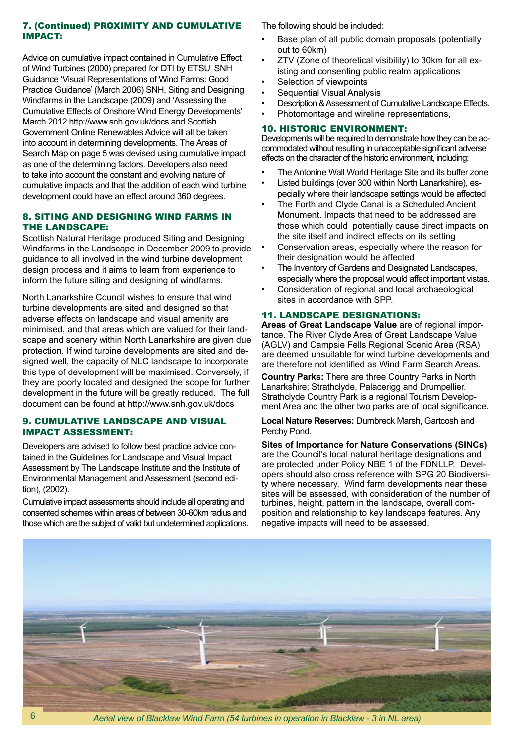#### 7. (Continued) PROXIMITY AND CUMULATIVE IMPACT:

Advice on cumulative impact contained in Cumulative Effect of Wind Turbines (2000) prepared for DTI by ETSU, SNH Guidance 'Visual Representations of Wind Farms: Good Practice Guidance' (March 2006) SNH, Siting and Designing Windfarms in the Landscape (2009) and 'Assessing the Cumulative Effects of Onshore Wind Energy Developments' March 2012 http://www.snh.gov.uk/docs and Scottish Government Online Renewables Advice will all be taken into account in determining developments. The Areas of Search Map on page 5 was devised using cumulative impact as one of the determining factors. Developers also need to take into account the constant and evolving nature of cumulative impacts and that the addition of each wind turbine development could have an effect around 360 degrees.

#### 8. SITING AND DESIGNING WIND FARMS IN THE LANDSCAPE:

Scottish Natural Heritage produced Siting and Designing Windfarms in the Landscape in December 2009 to provide guidance to all involved in the wind turbine development design process and it aims to learn from experience to inform the future siting and designing of windfarms.

North Lanarkshire Council wishes to ensure that wind turbine developments are sited and designed so that adverse effects on landscape and visual amenity are minimised, and that areas which are valued for their landscape and scenery within North Lanarkshire are given due protection. If wind turbine developments are sited and designed well, the capacity of NLC landscape to incorporate this type of development will be maximised. Conversely, if they are poorly located and designed the scope for further development in the future will be greatly reduced. The full document can be found at http://www.snh.gov.uk/docs

#### 9. CUMULATIVE LANDSCAPE AND VISUAL IMPACT ASSESSMENT:

Developers are advised to follow best practice advice contained in the Guidelines for Landscape and Visual Impact Assessment by The Landscape Institute and the Institute of Environmental Management and Assessment (second edition), (2002).

Cumulative impact assessments should include all operating and consented schemes within areas of between 30-60km radius and those which are the subject of valid but undetermined applications. The following should be included:

- Base plan of all public domain proposals (potentially out to 60km)
- ZTV (Zone of theoretical visibility) to 30km for all existing and consenting public realm applications
- Selection of viewpoints
- **Sequential Visual Analysis**
- Description & Assessment of Cumulative Landscape Effects.
- Photomontage and wireline representations,

#### 10. HISTORIC ENVIRONMENT:

Developments will be required to demonstrate how they can be accommodated without resulting in unacceptable significant adverse effects on the character of the historic environment, including:

- The Antonine Wall World Heritage Site and its buffer zone
- Listed buildings (over 300 within North Lanarkshire), especially where their landscape settings would be affected
- The Forth and Clyde Canal is a Scheduled Ancient Monument. Impacts that need to be addressed are those which could potentially cause direct impacts on the site itself and indirect effects on its setting
- Conservation areas, especially where the reason for their designation would be affected
- The Inventory of Gardens and Designated Landscapes, especially where the proposal would affect important vistas.
- Consideration of regional and local archaeological sites in accordance with SPP.

#### 11. LANDSCAPE DESIGNATIONS:

**Areas of Great Landscape Value** are of regional importance. The River Clyde Area of Great Landscape Value (AGLV) and Campsie Fells Regional Scenic Area (RSA) are deemed unsuitable for wind turbine developments and are therefore not identified as Wind Farm Search Areas.

**Country Parks:** There are three Country Parks in North Lanarkshire; Strathclyde, Palacerigg and Drumpellier. Strathclyde Country Park is a regional Tourism Development Area and the other two parks are of local significance.

**Local Nature Reserves:** Dumbreck Marsh, Gartcosh and Perchy Pond.

**Sites of Importance for Nature Conservations (SINCs)** are the Council's local natural heritage designations and are protected under Policy NBE 1 of the FDNLLP. Developers should also cross reference with SPG 20 Biodiversity where necessary. Wind farm developments near these sites will be assessed, with consideration of the number of turbines, height, pattern in the landscape, overall composition and relationship to key landscape features. Any negative impacts will need to be assessed.



6 *Aerial view of Blacklaw Wind Farm (54 turbines in operation in Blacklaw - 3 in NL area)*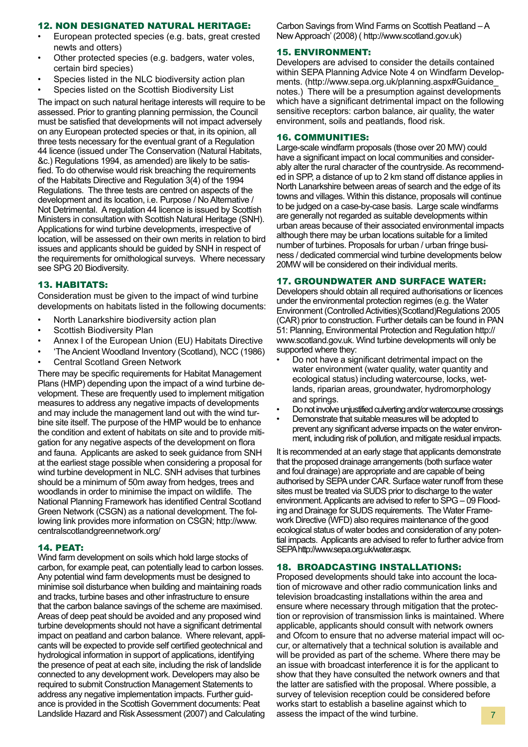#### 12. NON DESIGNATED NATURAL HERITAGE:

- European protected species (e.g. bats, great crested newts and otters)
- Other protected species (e.g. badgers, water voles, certain bird species)
- Species listed in the NLC biodiversity action plan
- Species listed on the Scottish Biodiversity List

The impact on such natural heritage interests will require to be assessed. Prior to granting planning permission, the Council must be satisfied that developments will not impact adversely on any European protected species or that, in its opinion, all three tests necessary for the eventual grant of a Regulation 44 licence (issued under The Conservation (Natural Habitats, &c.) Regulations 1994, as amended) are likely to be satisfied. To do otherwise would risk breaching the requirements of the Habitats Directive and Regulation 3(4) of the 1994 Regulations. The three tests are centred on aspects of the development and its location, i.e. Purpose / No Alternative / Not Detrimental. Aregulation 44 licence is issued by Scottish Ministers in consultation with Scottish Natural Heritage (SNH). Applications for wind turbine developments, irrespective of location, will be assessed on their own merits in relation to bird issues and applicants should be guided by SNH in respect of the requirements for ornithological surveys. Where necessary see SPG 20 Biodiversity.

#### 13. HABITATS:

Consideration must be given to the impact of wind turbine developments on habitats listed in the following documents:

- North Lanarkshire biodiversity action plan
- Scottish Biodiversity Plan
- Annex I of the European Union (EU) Habitats Directive
- 'The Ancient Woodland Inventory (Scotland), NCC (1986)
- **Central Scotland Green Network**

There may be specific requirements for Habitat Management Plans (HMP) depending upon the impact of a wind turbine development. These are frequently used to implement mitigation measures to address any negative impacts of developments and may include the management land out with the wind turbine site itself. The purpose of the HMP would be to enhance the condition and extent of habitats on site and to provide mitigation for any negative aspects of the development on flora and fauna. Applicants are asked to seek guidance from SNH at the earliest stage possible when considering a proposal for wind turbine development in NLC. SNH advises that turbines should be a minimum of 50m away from hedges, trees and woodlands in order to minimise the impact on wildlife. The National Planning Framework has identified Central Scotland Green Network (CSGN) as a national development. The following link provides more information on CSGN; http://www. centralscotlandgreennetwork.org/

#### 14. PEAT:

Wind farm development on soils which hold large stocks of carbon, for example peat, can potentially lead to carbon losses. Any potential wind farm developments must be designed to minimise soil disturbance when building and maintaining roads and tracks, turbine bases and other infrastructure to ensure that the carbon balance savings of the scheme are maximised. Areas of deep peat should be avoided and any proposed wind turbine developments should not have a significant detrimental impact on peatland and carbon balance. Where relevant, applicants will be expected to provide self certified geotechnical and hydrological information in support of applications, identifying the presence of peat at each site, including the risk of landslide connected to any development work. Developers may also be required to submit Construction Management Statements to address any negative implementation impacts. Further guidance is provided in the Scottish Government documents: Peat Landslide Hazard and Risk Assessment (2007) and Calculating Carbon Savings from Wind Farms on Scottish Peatland – A New Approach' (2008) ( http://www.scotland.gov.uk)

#### 15. ENVIRONMENT:

Developers are advised to consider the details contained within SEPA Planning Advice Note 4 on Windfarm Developments. (http://www.sepa.org.uk/planning.aspx#Guidance\_ notes.) There will be a presumption against developments which have a significant detrimental impact on the following sensitive receptors: carbon balance, air quality, the water environment, soils and peatlands, flood risk.

#### 16. COMMUNITIES:

Large-scale windfarm proposals (those over 20 MW) could have a significant impact on local communities and considerably alter the rural character of the countryside. As recommended in SPP, a distance of up to 2 km stand off distance applies in North Lanarkshire between areas of search and the edge of its towns and villages. Within this distance, proposals will continue to be judged on a case-by-case basis. Large scale windfarms are generally not regarded as suitable developments within urban areas because of their associated environmental impacts although there may be urban locations suitable for a limited number of turbines. Proposals for urban / urban fringe business / dedicated commercial wind turbine developments below 20MW will be considered on their individual merits.

#### 17. GROUNDWATER AND SURFACE WATER:

Developers should obtain all required authorisations or licences under the environmental protection regimes (e.g. the Water Environment (Controlled Activities)(Scotland)Regulations 2005 (CAR) prior to construction. Further details can be found in PAN 51: Planning, Environmental Protection and Regulation http:// www.scotland.gov.uk. Wind turbine developments will only be supported where they:

- Do not have a significant detrimental impact on the water environment (water quality, water quantity and ecological status) including watercourse, locks, wetlands, riparian areas, groundwater, hydromorphology and springs.
- Do not involve unjustified culverting and/or watercourse crossings
- Demonstrate that suitable measures will be adopted to prevent any significant adverse impacts on the water environment, including risk of pollution, and mitigate residual impacts.

It is recommended at an early stage that applicants demonstrate that the proposed drainage arrangements (both surface water and foul drainage) are appropriate and are capable of being authorised by SEPA under CAR. Surface water runoff from these sites must be treated via SUDS prior to discharge to the water environment. Applicants are advised to refer to SPG – 09 Flooding and Drainage for SUDS requirements. The Water Framework Directive (WFD) also requires maintenance of the good ecological status of water bodes and consideration of any potential impacts. Applicants are advised to refer to further advice from SEPA http://www.sepa.org.uk/water.aspx.

#### 18. BROADCASTING INSTALLATIONS:

Proposed developments should take into account the location of microwave and other radio communication links and television broadcasting installations within the area and ensure where necessary through mitigation that the protection or reprovision of transmission links is maintained. Where applicable, applicants should consult with network owners and Ofcom to ensure that no adverse material impact will occur, or alternatively that a technical solution is available and will be provided as part of the scheme. Where there may be an issue with broadcast interference it is for the applicant to show that they have consulted the network owners and that the latter are satisfied with the proposal. Where possible, a survey of television reception could be considered before works start to establish a baseline against which to assess the impact of the wind turbine.  $\frac{7}{2}$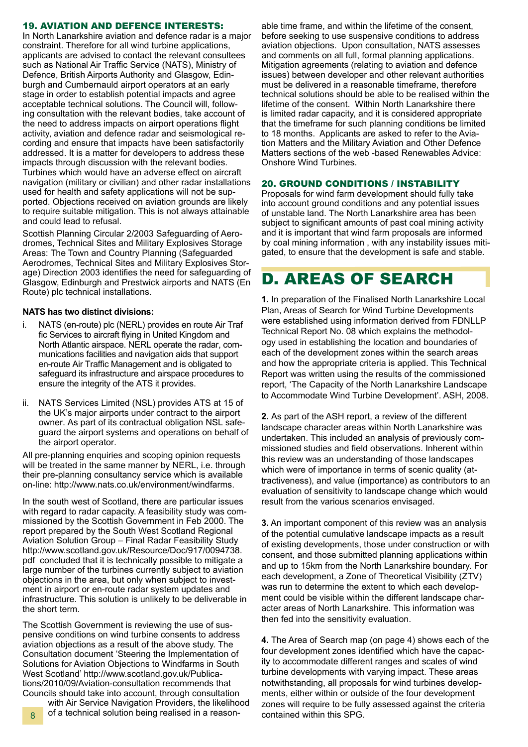#### 19. AVIATION AND DEFENCE INTERESTS:

In North Lanarkshire aviation and defence radar is a major constraint. Therefore for all wind turbine applications, applicants are advised to contact the relevant consultees such as National Air Traffic Service (NATS), Ministry of Defence, British Airports Authority and Glasgow, Edinburgh and Cumbernauld airport operators at an early stage in order to establish potential impacts and agree acceptable technical solutions. The Council will, following consultation with the relevant bodies, take account of the need to address impacts on airport operations flight activity, aviation and defence radar and seismological recording and ensure that impacts have been satisfactorily addressed. It is a matter for developers to address these impacts through discussion with the relevant bodies. Turbines which would have an adverse effect on aircraft navigation (military or civilian) and other radar installations used for health and safety applications will not be supported. Objections received on aviation grounds are likely to require suitable mitigation. This is not always attainable and could lead to refusal.

Scottish Planning Circular 2/2003 Safeguarding of Aerodromes, Technical Sites and Military Explosives Storage Areas: The Town and Country Planning (Safeguarded Aerodromes, Technical Sites and Military Explosives Storage) Direction 2003 identifies the need for safeguarding of Glasgow, Edinburgh and Prestwick airports and NATS (En Route) plc technical installations.

#### **NATS has two distinct divisions:**

- i. NATS (en-route) plc (NERL) provides en route Air Traf fic Services to aircraft flying in United Kingdom and North Atlantic airspace. NERL operate the radar, communications facilities and navigation aids that support en-route Air Traffic Management and is obligated to safeguard its infrastructure and airspace procedures to ensure the integrity of the ATS it provides.
- ii. NATS Services Limited (NSL) provides ATS at 15 of the UK's major airports under contract to the airport owner. As part of its contractual obligation NSL safeguard the airport systems and operations on behalf of the airport operator.

All pre-planning enquiries and scoping opinion requests will be treated in the same manner by NERL, i.e. through their pre-planning consultancy service which is available on-line: http://www.nats.co.uk/environment/windfarms.

In the south west of Scotland, there are particular issues with regard to radar capacity. A feasibility study was commissioned by the Scottish Government in Feb 2000. The report prepared by the South West Scotland Regional Aviation Solution Group – Final Radar Feasibility Study http://www.scotland.gov.uk/Resource/Doc/917/0094738. pdf concluded that it is technically possible to mitigate a large number of the turbines currently subject to aviation objections in the area, but only when subject to investment in airport or en-route radar system updates and infrastructure. This solution is unlikely to be deliverable in the short term.

The Scottish Government is reviewing the use of suspensive conditions on wind turbine consents to address aviation objections as a result of the above study. The Consultation document 'Steering the Implementation of Solutions for Aviation Objections to Windfarms in South West Scotland' http://www.scotland.gov.uk/Publications/2010/09/Aviation-consultation recommends that Councils should take into account, through consultation

8 of a technical solution being realised in a reason- contained within this SPG. with Air Service Navigation Providers, the likelihood

able time frame, and within the lifetime of the consent, before seeking to use suspensive conditions to address aviation objections. Upon consultation, NATS assesses and comments on all full, formal planning applications. Mitigation agreements (relating to aviation and defence issues) between developer and other relevant authorities must be delivered in a reasonable timeframe, therefore technical solutions should be able to be realised within the lifetime of the consent. Within North Lanarkshire there is limited radar capacity, and it is considered appropriate that the timeframe for such planning conditions be limited to 18 months. Applicants are asked to refer to the Aviation Matters and the Military Aviation and Other Defence Matters sections of the web -based Renewables Advice: Onshore Wind Turbines.

#### 20. GROUND CONDITIONS / INSTABILITY

Proposals for wind farm development should fully take into account ground conditions and any potential issues of unstable land. The North Lanarkshire area has been subject to significant amounts of past coal mining activity and it is important that wind farm proposals are informed by coal mining information , with any instability issues mitigated, to ensure that the development is safe and stable.

### D. AREAS OF SEARCH

**1.** In preparation of the Finalised North Lanarkshire Local Plan, Areas of Search for Wind Turbine Developments were established using information derived from FDNLLP Technical Report No. 08 which explains the methodology used in establishing the location and boundaries of each of the development zones within the search areas and how the appropriate criteria is applied. This Technical Report was written using the results of the commissioned report, 'The Capacity of the North Lanarkshire Landscape to Accommodate Wind Turbine Development'. ASH, 2008.

**2.** As part of the ASH report, a review of the different landscape character areas within North Lanarkshire was undertaken. This included an analysis of previously commissioned studies and field observations. Inherent within this review was an understanding of those landscapes which were of importance in terms of scenic quality (attractiveness), and value (importance) as contributors to an evaluation of sensitivity to landscape change which would result from the various scenarios envisaged.

**3.** An important component of this review was an analysis of the potential cumulative landscape impacts as a result of existing developments, those under construction or with consent, and those submitted planning applications within and up to 15km from the North Lanarkshire boundary. For each development, a Zone of Theoretical Visibility (ZTV) was run to determine the extent to which each development could be visible within the different landscape character areas of North Lanarkshire. This information was then fed into the sensitivity evaluation.

**4.** The Area of Search map (on page 4) shows each of the four development zones identified which have the capacity to accommodate different ranges and scales of wind turbine developments with varying impact. These areas notwithstanding, all proposals for wind turbines developments, either within or outside of the four development zones will require to be fully assessed against the criteria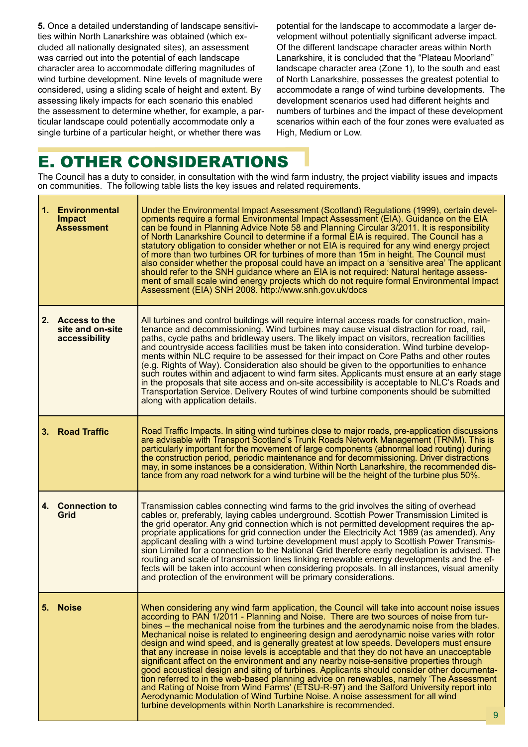**5.** Once a detailed understanding of landscape sensitivities within North Lanarkshire was obtained (which excluded all nationally designated sites), an assessment was carried out into the potential of each landscape character area to accommodate differing magnitudes of wind turbine development. Nine levels of magnitude were considered, using a sliding scale of height and extent. By assessing likely impacts for each scenario this enabled the assessment to determine whether, for example, a particular landscape could potentially accommodate only a single turbine of a particular height, or whether there was

potential for the landscape to accommodate a larger development without potentially significant adverse impact. Of the different landscape character areas within North Lanarkshire, it is concluded that the "Plateau Moorland" landscape character area (Zone 1), to the south and east of North Lanarkshire, possesses the greatest potential to accommodate a range of wind turbine developments. The development scenarios used had different heights and numbers of turbines and the impact of these development scenarios within each of the four zones were evaluated as High, Medium or Low.

## E. OTHER CONSIDERATIONS

The Council has a duty to consider, in consultation with the wind farm industry, the project viability issues and impacts on communities. The following table lists the key issues and related requirements.

|    | 1. Environmental<br><b>Impact</b><br><b>Assessment</b> | Under the Environmental Impact Assessment (Scotland) Regulations (1999), certain devel-<br>opments require a formal Environmental Impact Assessment (EIA). Guidance on the EIA<br>can be found in Planning Advice Note 58 and Planning Circular 3/2011. It is responsibility<br>of North Lanarkshire Council to determine if a formal EIA is required. The Council has a<br>statutory obligation to consider whether or not EIA is required for any wind energy project<br>of more than two turbines OR for turbines of more than 15m in height. The Council must<br>also consider whether the proposal could have an impact on a 'sensitive area' The applicant<br>should refer to the SNH guidance where an EIA is not required: Natural heritage assess-<br>ment of small scale wind energy projects which do not require formal Environmental Impact<br>Assessment (EIA) SNH 2008. http://www.snh.gov.uk/docs                                                                                                                                                                                            |
|----|--------------------------------------------------------|--------------------------------------------------------------------------------------------------------------------------------------------------------------------------------------------------------------------------------------------------------------------------------------------------------------------------------------------------------------------------------------------------------------------------------------------------------------------------------------------------------------------------------------------------------------------------------------------------------------------------------------------------------------------------------------------------------------------------------------------------------------------------------------------------------------------------------------------------------------------------------------------------------------------------------------------------------------------------------------------------------------------------------------------------------------------------------------------------------------|
|    | 2. Access to the<br>site and on-site<br>accessibility  | All turbines and control buildings will require internal access roads for construction, main-<br>tenance and decommissioning. Wind turbines may cause visual distraction for road, rail,<br>paths, cycle paths and bridleway users. The likely impact on visitors, recreation facilities<br>and countryside access facilities must be taken into consideration. Wind turbine develop-<br>ments within NLC require to be assessed for their impact on Core Paths and other routes<br>(e.g. Rights of Way). Consideration also should be given to the opportunities to enhance<br>such routes within and adjacent to wind farm sites. Applicants must ensure at an early stage<br>in the proposals that site access and on-site accessibility is acceptable to NLC's Roads and<br>Transportation Service. Delivery Routes of wind turbine components should be submitted<br>along with application details.                                                                                                                                                                                                    |
| 3. | <b>Road Traffic</b>                                    | Road Traffic Impacts. In siting wind turbines close to major roads, pre-application discussions<br>are advisable with Transport Scotland's Trunk Roads Network Management (TRNM). This is<br>particularly important for the movement of large components (abnormal load routing) during<br>the construction period, periodic maintenance and for decommissioning. Driver distractions<br>may, in some instances be a consideration. Within North Lanarkshire, the recommended dis-<br>tance from any road network for a wind turbine will be the height of the turbine plus 50%.                                                                                                                                                                                                                                                                                                                                                                                                                                                                                                                             |
|    | 4. Connection to<br>Grid                               | Transmission cables connecting wind farms to the grid involves the siting of overhead<br>cables or, preferably, laying cables underground. Scottish Power Transmission Limited is<br>the grid operator. Any grid connection which is not permitted development requires the ap-<br>propriate applications for grid connection under the Electricity Act 1989 (as amended). Any<br>applicant dealing with a wind turbine development must apply to Scottish Power Transmis-<br>sion Limited for a connection to the National Grid therefore early negotiation is advised. The<br>routing and scale of transmission lines linking renewable energy developments and the ef-<br>fects will be taken into account when considering proposals. In all instances, visual amenity<br>and protection of the environment will be primary considerations.                                                                                                                                                                                                                                                              |
| 5. | <b>Noise</b>                                           | When considering any wind farm application, the Council will take into account noise issues<br>according to PAN 1/2011 - Planning and Noise. There are two sources of noise from tur-<br>bines – the mechanical noise from the turbines and the aerodynamic noise from the blades.<br>Mechanical noise is related to engineering design and aerodynamic noise varies with rotor<br>design and wind speed, and is generally greatest at low speeds. Developers must ensure<br>that any increase in noise levels is acceptable and that they do not have an unacceptable<br>significant affect on the environment and any nearby noise-sensitive properties through<br>good acoustical design and siting of turbines. Applicants should consider other documenta-<br>tion referred to in the web-based planning advice on renewables, namely 'The Assessment<br>and Rating of Noise from Wind Farms' (ETSU-R-97) and the Salford University report into<br>Aerodynamic Modulation of Wind Turbine Noise. A noise assessment for all wind<br>turbine developments within North Lanarkshire is recommended.<br>9 |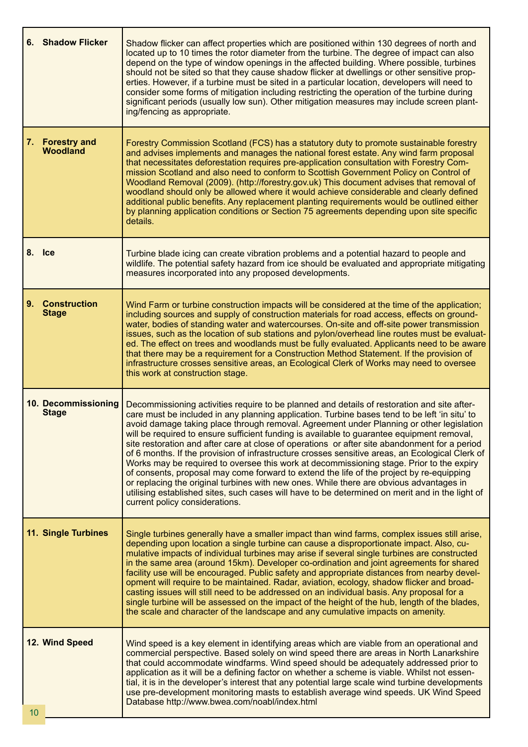| 6. Shadow Flicker                            | Shadow flicker can affect properties which are positioned within 130 degrees of north and<br>located up to 10 times the rotor diameter from the turbine. The degree of impact can also<br>depend on the type of window openings in the affected building. Where possible, turbines<br>should not be sited so that they cause shadow flicker at dwellings or other sensitive prop-<br>erties. However, if a turbine must be sited in a particular location, developers will need to<br>consider some forms of mitigation including restricting the operation of the turbine during<br>significant periods (usually low sun). Other mitigation measures may include screen plant-<br>ing/fencing as appropriate.                                                                                                                                                                                                                                                                                                     |
|----------------------------------------------|--------------------------------------------------------------------------------------------------------------------------------------------------------------------------------------------------------------------------------------------------------------------------------------------------------------------------------------------------------------------------------------------------------------------------------------------------------------------------------------------------------------------------------------------------------------------------------------------------------------------------------------------------------------------------------------------------------------------------------------------------------------------------------------------------------------------------------------------------------------------------------------------------------------------------------------------------------------------------------------------------------------------|
| <b>Forestry and</b><br>7.<br><b>Woodland</b> | Forestry Commission Scotland (FCS) has a statutory duty to promote sustainable forestry<br>and advises implements and manages the national forest estate. Any wind farm proposal<br>that necessitates deforestation requires pre-application consultation with Forestry Com-<br>mission Scotland and also need to conform to Scottish Government Policy on Control of<br>Woodland Removal (2009). (http://forestry.gov.uk) This document advises that removal of<br>woodland should only be allowed where it would achieve considerable and clearly defined<br>additional public benefits. Any replacement planting requirements would be outlined either<br>by planning application conditions or Section 75 agreements depending upon site specific<br>details.                                                                                                                                                                                                                                                  |
| 8. Ice                                       | Turbine blade icing can create vibration problems and a potential hazard to people and<br>wildlife. The potential safety hazard from ice should be evaluated and appropriate mitigating<br>measures incorporated into any proposed developments.                                                                                                                                                                                                                                                                                                                                                                                                                                                                                                                                                                                                                                                                                                                                                                   |
| 9.<br><b>Construction</b><br><b>Stage</b>    | Wind Farm or turbine construction impacts will be considered at the time of the application;<br>including sources and supply of construction materials for road access, effects on ground-<br>water, bodies of standing water and watercourses. On-site and off-site power transmission<br>issues, such as the location of sub stations and pylon/overhead line routes must be evaluat-<br>ed. The effect on trees and woodlands must be fully evaluated. Applicants need to be aware<br>that there may be a requirement for a Construction Method Statement. If the provision of<br>infrastructure crosses sensitive areas, an Ecological Clerk of Works may need to oversee<br>this work at construction stage.                                                                                                                                                                                                                                                                                                  |
| 10. Decommissioning<br><b>Stage</b>          | Decommissioning activities require to be planned and details of restoration and site after-<br>care must be included in any planning application. Turbine bases tend to be left 'in situ' to<br>avoid damage taking place through removal. Agreement under Planning or other legislation<br>will be required to ensure sufficient funding is available to guarantee equipment removal,<br>site restoration and after care at close of operations or after site abandonment for a period<br>of 6 months. If the provision of infrastructure crosses sensitive areas, an Ecological Clerk of<br>Works may be required to oversee this work at decommissioning stage. Prior to the expiry<br>of consents, proposal may come forward to extend the life of the project by re-equipping<br>or replacing the original turbines with new ones. While there are obvious advantages in<br>utilising established sites, such cases will have to be determined on merit and in the light of<br>current policy considerations. |
| 11. Single Turbines                          | Single turbines generally have a smaller impact than wind farms, complex issues still arise,<br>depending upon location a single turbine can cause a disproportionate impact. Also, cu-<br>mulative impacts of individual turbines may arise if several single turbines are constructed<br>in the same area (around 15km). Developer co-ordination and joint agreements for shared<br>facility use will be encouraged. Public safety and appropriate distances from nearby devel-<br>opment will require to be maintained. Radar, aviation, ecology, shadow flicker and broad-<br>casting issues will still need to be addressed on an individual basis. Any proposal for a<br>single turbine will be assessed on the impact of the height of the hub, length of the blades,<br>the scale and character of the landscape and any cumulative impacts on amenity.                                                                                                                                                    |
| 12. Wind Speed<br>10                         | Wind speed is a key element in identifying areas which are viable from an operational and<br>commercial perspective. Based solely on wind speed there are areas in North Lanarkshire<br>that could accommodate windfarms. Wind speed should be adequately addressed prior to<br>application as it will be a defining factor on whether a scheme is viable. Whilst not essen-<br>tial, it is in the developer's interest that any potential large scale wind turbine developments<br>use pre-development monitoring masts to establish average wind speeds. UK Wind Speed<br>Database http://www.bwea.com/noabl/index.html                                                                                                                                                                                                                                                                                                                                                                                          |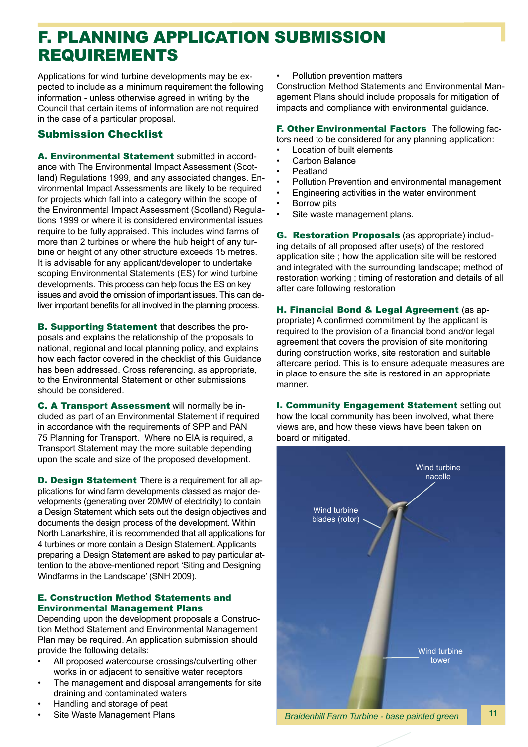### F. PLANNING APPLICATION SUBMISSION REQUIREMENTS

Applications for wind turbine developments may be expected to include as a minimum requirement the following information - unless otherwise agreed in writing by the Council that certain items of information are not required in the case of a particular proposal.

### Submission Checklist

A. Environmental Statement submitted in accordance with The Environmental Impact Assessment (Scotland) Regulations 1999, and any associated changes. Environmental Impact Assessments are likely to be required for projects which fall into a category within the scope of the Environmental Impact Assessment (Scotland) Regulations 1999 or where it is considered environmental issues require to be fully appraised. This includes wind farms of more than 2 turbines or where the hub height of any turbine or height of any other structure exceeds 15 metres. It is advisable for any applicant/developer to undertake scoping Environmental Statements (ES) for wind turbine developments. This process can help focus the ES on key issues and avoid the omission of important issues. This can deliver important benefits for all involved in the planning process.

B. Supporting Statement that describes the proposals and explains the relationship of the proposals to national, regional and local planning policy, and explains how each factor covered in the checklist of this Guidance has been addressed. Cross referencing, as appropriate, to the Environmental Statement or other submissions should be considered.

C. A Transport Assessment will normally be included as part of an Environmental Statement if required in accordance with the requirements of SPP and PAN 75 Planning for Transport. Where no EIA is required, a Transport Statement may the more suitable depending upon the scale and size of the proposed development.

**D. Design Statement** There is a requirement for all applications for wind farm developments classed as major developments (generating over 20MW of electricity) to contain a Design Statement which sets out the design objectives and documents the design process of the development. Within North Lanarkshire, it is recommended that all applications for 4 turbines or more contain a Design Statement. Applicants preparing a Design Statement are asked to pay particular attention to the above-mentioned report 'Siting and Designing Windfarms in the Landscape' (SNH 2009).

#### E. Construction Method Statements and Environmental Management Plans

Depending upon the development proposals a Construction Method Statement and Environmental Management Plan may be required. An application submission should provide the following details:

- All proposed watercourse crossings/culverting other works in or adjacent to sensitive water receptors
- The management and disposal arrangements for site draining and contaminated waters
- Handling and storage of peat
- Site Waste Management Plans

Pollution prevention matters

Construction Method Statements and Environmental Management Plans should include proposals for mitigation of impacts and compliance with environmental guidance.

F. Other Environmental Factors The following factors need to be considered for any planning application:

- **Location of built elements**
- Carbon Balance
- **Peatland**
- Pollution Prevention and environmental management
- Engineering activities in the water environment
- Borrow pits
- Site waste management plans.

G. Restoration Proposals (as appropriate) including details of all proposed after use(s) of the restored application site ; how the application site will be restored and integrated with the surrounding landscape; method of restoration working ; timing of restoration and details of all after care following restoration

H. Financial Bond & Legal Agreement (as appropriate) A confirmed commitment by the applicant is required to the provision of a financial bond and/or legal agreement that covers the provision of site monitoring during construction works, site restoration and suitable aftercare period. This is to ensure adequate measures are in place to ensure the site is restored in an appropriate manner.

I. Community Engagement Statement setting out how the local community has been involved, what there views are, and how these views have been taken on board or mitigated.



*Braidenhill Farm Turbine - base painted green*